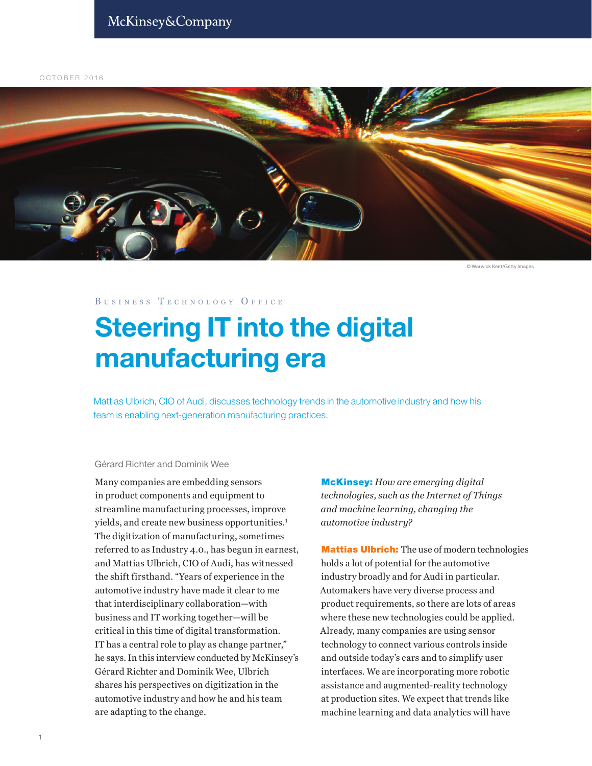OCTOBER 2016



© Warwick Kent/Getty Images

BUSINESS TECHNOLOGY OFFICE

# **Steering IT into the digital** manufacturing era

Mattias Ulbrich, CIO of Audi, discusses technology trends in the automotive industry and how his team is enabling next-generation manufacturing practices.

### Gérard Richter and Dominik Wee

Many companies are embedding sensors in product components and equipment to streamline manufacturing processes, improve yields, and create new business opportunities.<sup>1</sup> The digitization of manufacturing, sometimes referred to as Industry 4.0., has begun in earnest, and Mattias Ulbrich, CIO of Audi, has witnessed the shift firsthand. "Years of experience in the automotive industry have made it clear to me that interdisciplinary collaboration—with business and IT working together—will be critical in this time of digital transformation. IT has a central role to play as change partner," he says. In this interview conducted by McKinsey's Gérard Richter and Dominik Wee, Ulbrich shares his perspectives on digitization in the automotive industry and how he and his team are adapting to the change.

McKinsey: *How are emerging digital technologies, such as the Internet of Things and machine learning, changing the automotive industry?*

Mattias Ulbrich: The use of modern technologies holds a lot of potential for the automotive industry broadly and for Audi in particular. Automakers have very diverse process and product requirements, so there are lots of areas where these new technologies could be applied. Already, many companies are using sensor technology to connect various controls inside and outside today's cars and to simplify user interfaces. We are incorporating more robotic assistance and augmented-reality technology at production sites. We expect that trends like machine learning and data analytics will have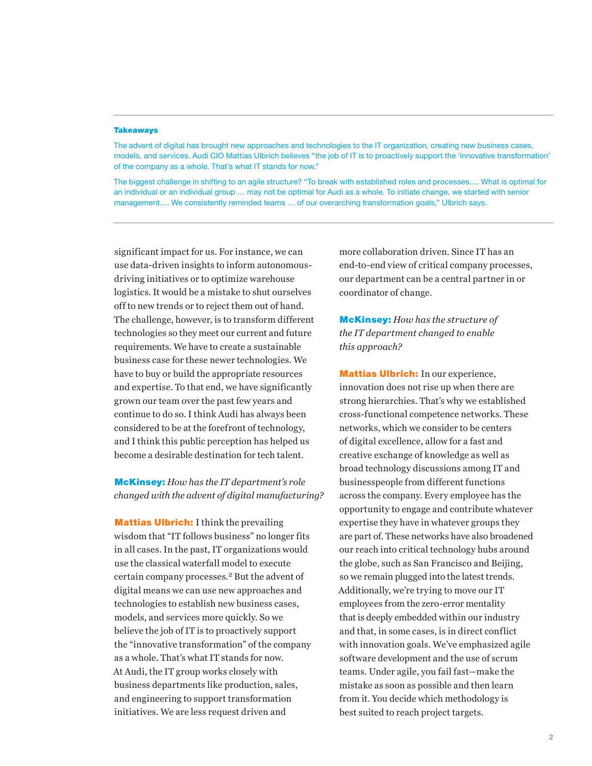#### **Takeaways**

The advent of digital has brought new approaches and technologies to the IT organization, creating new business cases, models, and services. Audi CIO Mattias Ulbrich believes "the job of IT is to proactively support the 'innovative transformation' of the company as a whole. That's what IT stands for now."

The biggest challenge in shifting to an agile structure? "To break with established roles and processes…. What is optimal for an individual or an individual group … may not be optimal for Audi as a whole. To initiate change, we started with senior management…. We consistently reminded teams … of our overarching transformation goals," Ulbrich says.

significant impact for us. For instance, we can use data-driven insights to inform autonomousdriving initiatives or to optimize warehouse logistics. It would be a mistake to shut ourselves off to new trends or to reject them out of hand. The challenge, however, is to transform different technologies so they meet our current and future requirements. We have to create a sustainable business case for these newer technologies. We have to buy or build the appropriate resources and expertise. To that end, we have significantly grown our team over the past few years and continue to do so. I think Audi has always been considered to be at the forefront of technology, and I think this public perception has helped us become a desirable destination for tech talent.

## McKinsey: *How has the IT department's role changed with the advent of digital manufacturing?*

**Mattias Ulbrich:** I think the prevailing wisdom that "IT follows business" no longer fits in all cases. In the past, IT organizations would use the classical waterfall model to execute certain company processes.<sup>2</sup> But the advent of digital means we can use new approaches and technologies to establish new business cases, models, and services more quickly. So we believe the job of IT is to proactively support the "innovative transformation" of the company as a whole. That's what IT stands for now. At Audi, the IT group works closely with business departments like production, sales, and engineering to support transformation initiatives. We are less request driven and

more collaboration driven. Since IT has an end-to-end view of critical company processes, our department can be a central partner in or coordinator of change.

McKinsey: *How has the structure of the IT department changed to enable this approach?*

Mattias Ulbrich: In our experience, innovation does not rise up when there are strong hierarchies. That's why we established cross-functional competence networks. These networks, which we consider to be centers of digital excellence, allow for a fast and creative exchange of knowledge as well as broad technology discussions among IT and businesspeople from different functions across the company. Every employee has the opportunity to engage and contribute whatever expertise they have in whatever groups they are part of. These networks have also broadened our reach into critical technology hubs around the globe, such as San Francisco and Beijing, so we remain plugged into the latest trends. Additionally, we're trying to move our IT employees from the zero-error mentality that is deeply embedded within our industry and that, in some cases, is in direct conflict with innovation goals. We've emphasized agile software development and the use of scrum teams. Under agile, you fail fast—make the mistake as soon as possible and then learn from it. You decide which methodology is best suited to reach project targets.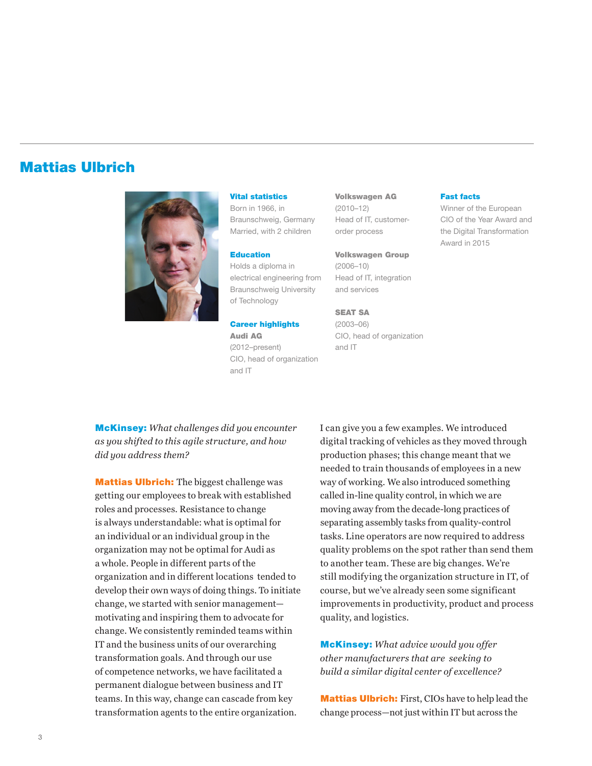## Mattias Ulbrich



Vital statistics

Born in 1966, in Braunschweig, Germany Married, with 2 children

#### Education

Holds a diploma in electrical engineering from Braunschweig University of Technology

Career highlights Audi AG (2012–present) CIO, head of organization and IT

Volkswagen AG (2010–12) Head of IT, customerorder process

Volkswagen Group (2006–10) Head of IT, integration and services

SEAT SA (2003–06) CIO, head of organization and IT

#### Fast facts

Winner of the European CIO of the Year Award and the Digital Transformation Award in 2015

McKinsey: *What challenges did you encounter as you shifted to this agile structure, and how did you address them?*

Mattias Ulbrich: The biggest challenge was getting our employees to break with established roles and processes. Resistance to change is always understandable: what is optimal for an individual or an individual group in the organization may not be optimal for Audi as a whole. People in different parts of the organization and in different locations tended to develop their own ways of doing things. To initiate change, we started with senior management motivating and inspiring them to advocate for change. We consistently reminded teams within IT and the business units of our overarching transformation goals. And through our use of competence networks, we have facilitated a permanent dialogue between business and IT teams. In this way, change can cascade from key transformation agents to the entire organization.

I can give you a few examples. We introduced digital tracking of vehicles as they moved through production phases; this change meant that we needed to train thousands of employees in a new way of working. We also introduced something called in-line quality control, in which we are moving away from the decade-long practices of separating assembly tasks from quality-control tasks. Line operators are now required to address quality problems on the spot rather than send them to another team. These are big changes. We're still modifying the organization structure in IT, of course, but we've already seen some significant improvements in productivity, product and process quality, and logistics.

McKinsey: *What advice would you offer other manufacturers that are seeking to build a similar digital center of excellence?*

Mattias Ulbrich: First, CIOs have to help lead the change process—not just within IT but across the